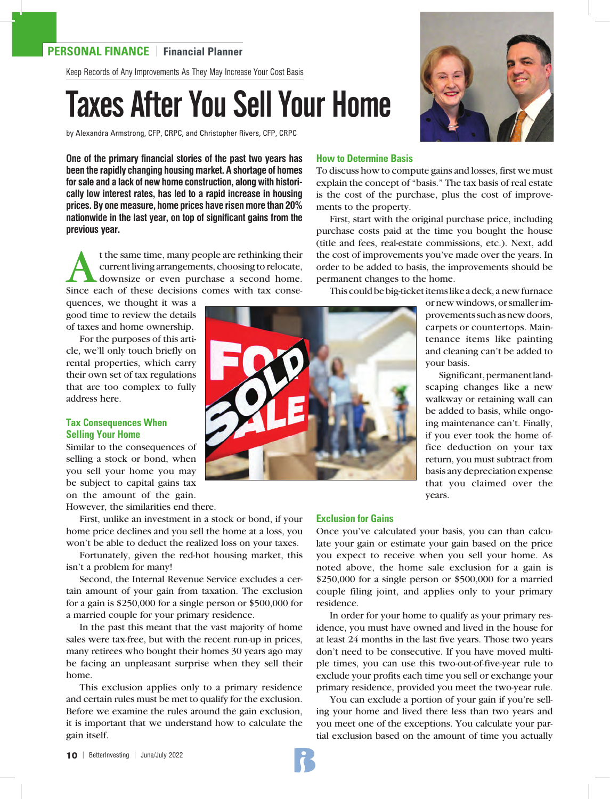## **PERSONAL FINANCE** | **Financial Planner**

Keep Records of Any Improvements As They May Increase Your Cost Basis

# Taxes After You Sell Your Home

by Alexandra Armstrong, CFP, CRPC, and Christopher Rivers, CFP, CRPC

**One of the primary financial stories of the past two years has been the rapidly changing housing market. A shortage of homes for sale and a lack of new home construction, along with historically low interest rates, has led to a rapid increase in housing prices. By one measure, home prices have risen more than 20% nationwide in the last year, on top of significant gains from the previous year.** 

t the same time, many people are rethinking their<br>current living arrangements, choosing to relocate,<br>downsize or even purchase a second home.<br>Since each of these decisions comes with tax consecurrent living arrangements, choosing to relocate, downsize or even purchase a second home. Since each of these decisions comes with tax conse-

quences, we thought it was a good time to review the details of taxes and home ownership.

For the purposes of this article, we'll only touch briefly on rental properties, which carry their own set of tax regulations that are too complex to fully address here.

## **Tax Consequences When Selling Your Home**

Similar to the consequences of selling a stock or bond, when you sell your home you may be subject to capital gains tax on the amount of the gain.

However, the similarities end there.

First, unlike an investment in a stock or bond, if your home price declines and you sell the home at a loss, you won't be able to deduct the realized loss on your taxes.

Fortunately, given the red-hot housing market, this isn't a problem for many!

Second, the Internal Revenue Service excludes a certain amount of your gain from taxation. The exclusion for a gain is \$250,000 for a single person or \$500,000 for a married couple for your primary residence.

In the past this meant that the vast majority of home sales were tax-free, but with the recent run-up in prices, many retirees who bought their homes 30 years ago may be facing an unpleasant surprise when they sell their home.

This exclusion applies only to a primary residence and certain rules must be met to qualify for the exclusion. Before we examine the rules around the gain exclusion, it is important that we understand how to calculate the gain itself.



To discuss how to compute gains and losses, first we must explain the concept of "basis." The tax basis of real estate is the cost of the purchase, plus the cost of improvements to the property.

First, start with the original purchase price, including purchase costs paid at the time you bought the house (title and fees, real-estate commissions, etc.). Next, add the cost of improvements you've made over the years. In order to be added to basis, the improvements should be permanent changes to the home.

This could be big-ticket items like a deck, a new furnace

or new windows, or smaller improvements such as new doors, carpets or countertops. Maintenance items like painting and cleaning can't be added to your basis.

Significant, permanent landscaping changes like a new walkway or retaining wall can be added to basis, while ongoing maintenance can't. Finally, if you ever took the home office deduction on your tax return, you must subtract from basis any depreciation expense that you claimed over the years.

### **Exclusion for Gains**

Once you've calculated your basis, you can than calculate your gain or estimate your gain based on the price you expect to receive when you sell your home. As noted above, the home sale exclusion for a gain is \$250,000 for a single person or \$500,000 for a married couple filing joint, and applies only to your primary residence.

In order for your home to qualify as your primary residence, you must have owned and lived in the house for at least 24 months in the last five years. Those two years don't need to be consecutive. If you have moved multiple times, you can use this two-out-of-five-year rule to exclude your profits each time you sell or exchange your primary residence, provided you meet the two-year rule.

You can exclude a portion of your gain if you're selling your home and lived there less than two years and you meet one of the exceptions. You calculate your partial exclusion based on the amount of time you actually